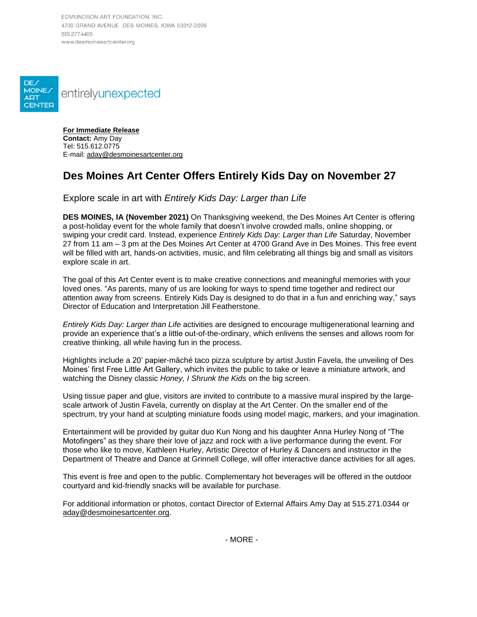EDMUNDSON ART FOUNDATION, INC. 4700 GRAND AVENUE DES MOINES, IOWA 50312-2099 515 277 4405 www.desmoinesartcenter.org



**For Immediate Release Contact:** Amy Day Tel: 515.612.0775 E-mail: [aday@desmoinesartcenter.org](file://///fileserver/Departments/Development/Marketing/Press%20Releases/01%20PRESS%20RELEASE%20PROCESSES/aday@desmoinesartcenter.org)

## **Des Moines Art Center Offers Entirely Kids Day on November 27**

Explore scale in art with *Entirely Kids Day: Larger than Life*

**DES MOINES, IA (November 2021)** On Thanksgiving weekend, the Des Moines Art Center is offering a post-holiday event for the whole family that doesn't involve crowded malls, online shopping, or swiping your credit card. Instead, experience *Entirely Kids Day: Larger than Life* Saturday, November 27 from 11 am – 3 pm at the Des Moines Art Center at 4700 Grand Ave in Des Moines. This free event will be filled with art, hands-on activities, music, and film celebrating all things big and small as visitors explore scale in art.

The goal of this Art Center event is to make creative connections and meaningful memories with your loved ones. "As parents, many of us are looking for ways to spend time together and redirect our attention away from screens. Entirely Kids Day is designed to do that in a fun and enriching way," says Director of Education and Interpretation Jill Featherstone.

*Entirely Kids Day: Larger than Life* activities are designed to encourage multigenerational learning and provide an experience that's a little out-of-the-ordinary, which enlivens the senses and allows room for creative thinking, all while having fun in the process.

Highlights include a 20' papier-mâché taco pizza sculpture by artist Justin Favela, the unveiling of Des Moines' first Free Little Art Gallery, which invites the public to take or leave a miniature artwork, and watching the Disney classic *Honey, I Shrunk the Kids* on the big screen.

Using tissue paper and glue, visitors are invited to contribute to a massive mural inspired by the largescale artwork of Justin Favela, currently on display at the Art Center. On the smaller end of the spectrum, try your hand at sculpting miniature foods using model magic, markers, and your imagination.

Entertainment will be provided by guitar duo Kun Nong and his daughter Anna Hurley Nong of "The Motofingers" as they share their love of jazz and rock with a live performance during the event. For those who like to move, Kathleen Hurley, Artistic Director of Hurley & Dancers and instructor in the Department of Theatre and Dance at Grinnell College, will offer interactive dance activities for all ages.

This event is free and open to the public. Complementary hot beverages will be offered in the outdoor courtyard and kid-friendly snacks will be available for purchase.

For additional information or photos, contact Director of External Affairs Amy Day at 515.271.0344 or [aday@desmoinesartcenter.org.](file://///fileserver/Departments/Development/Marketing/Press%20Releases/01%20PRESS%20RELEASE%20PROCESSES/aday@desmoinesartcenter.org)